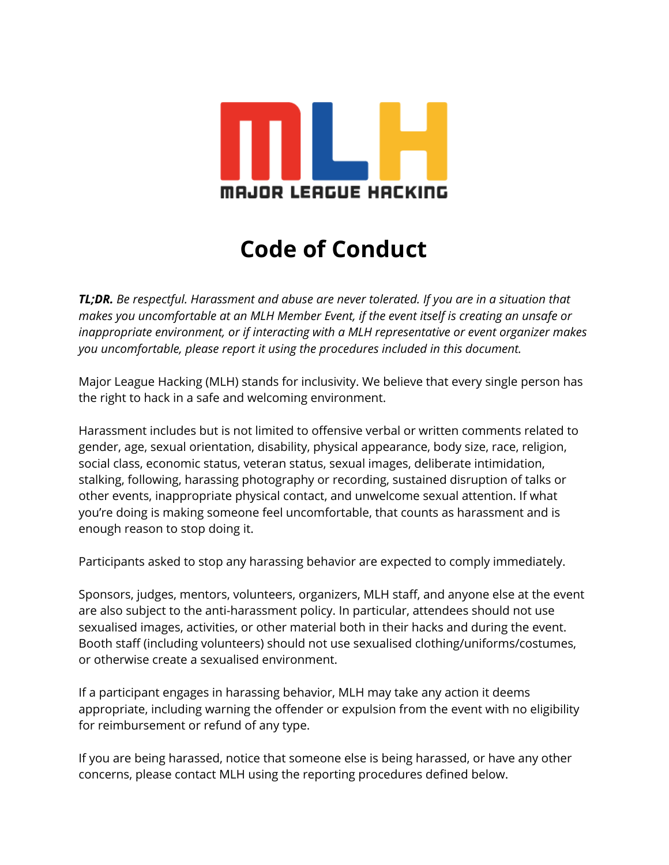

## **Code of Conduct**

TL;DR. Be respectful. Harassment and abuse are never tolerated. If you are in a situation that makes you uncomfortable at an MLH Member Event, if the event itself is creating an unsafe or inappropriate environment, or if interacting with a MLH representative or event organizer makes you uncomfortable, please report it using the procedures included in this document.

Major League Hacking (MLH) stands for inclusivity. We believe that every single person has the right to hack in a safe and welcoming environment.

Harassment includes but is not limited to offensive verbal or written comments related to gender, age, sexual orientation, disability, physical appearance, body size, race, religion, social class, economic status, veteran status, sexual images, deliberate intimidation, stalking, following, harassing photography or recording, sustained disruption of talks or other events, inappropriate physical contact, and unwelcome sexual attention. If what you're doing is making someone feel uncomfortable, that counts as harassment and is enough reason to stop doing it.

Participants asked to stop any harassing behavior are expected to comply immediately.

Sponsors, judges, mentors, volunteers, organizers, MLH staff, and anyone else at the event are also subject to the anti-harassment policy. In particular, attendees should not use sexualised images, activities, or other material both in their hacks and during the event. Booth staff (including volunteers) should not use sexualised clothing/uniforms/costumes, or otherwise create a sexualised environment.

If a participant engages in harassing behavior, MLH may take any action it deems appropriate, including warning the offender or expulsion from the event with no eligibility for reimbursement or refund of any type.

If you are being harassed, notice that someone else is being harassed, or have any other concerns, please contact MLH using the reporting procedures defined below.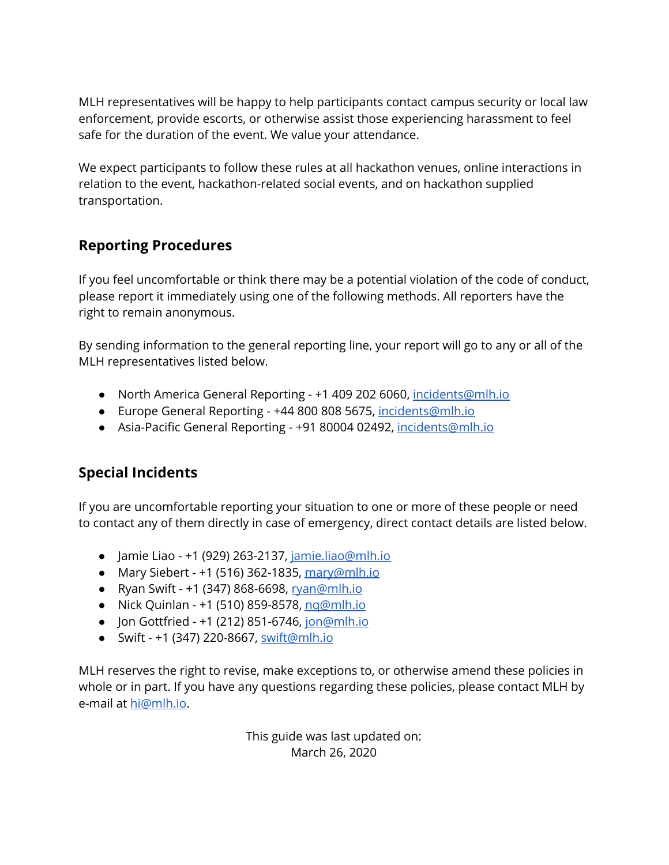MLH representatives will be happy to help participants contact campus security or local law enforcement, provide escorts, or otherwise assist those experiencing harassment to feel safe for the duration of the event. We value your attendance.

We expect participants to follow these rules at all hackathon venues, online interactions in relation to the event, hackathon-related social events, and on hackathon supplied transportation.

#### **Reporting Procedures**

If you feel uncomfortable or think there may be a potential violation of the code of conduct, please report it immediately using one of the following methods. All reporters have the right to remain anonymous.

By sending information to the general reporting line, your report will go to any or all of the MLH representatives listed below.

- North America General Reporting +1 409 202 6060, incidents@mlh.io
- Europe General Reporting +44 800 808 5675, incidents@mlh.io
- Asia-Pacific General Reporting +91 80004 02492, incidents@mlh.io

### **Special Incidents**

If you are uncomfortable reporting your situation to one or more of these people or need to contact any of them directly in case of emergency, direct contact details are listed below.

- Jamie Liao +1 (929) 263-2137, jamie.liao@mlh.io
- Mary Siebert  $+1$  (516) 362-1835, mary@mlh.io
- Ryan Swift +1 (347) 868-6698, ryan@mlh.io
- Nick Quinlan +1 (510) 859-8578, ng@mlh.jo
- Jon Gottfried +1 (212) 851-6746, jon@mlh.jo
- Swift +1 (347) 220-8667, swift@mlh.io

MLH reserves the right to revise, make exceptions to, or otherwise amend these policies in whole or in part. If you have any questions regarding these policies, please contact MLH by e-mail at hi@mlh.jo.

> This guide was last updated on: March 26, 2020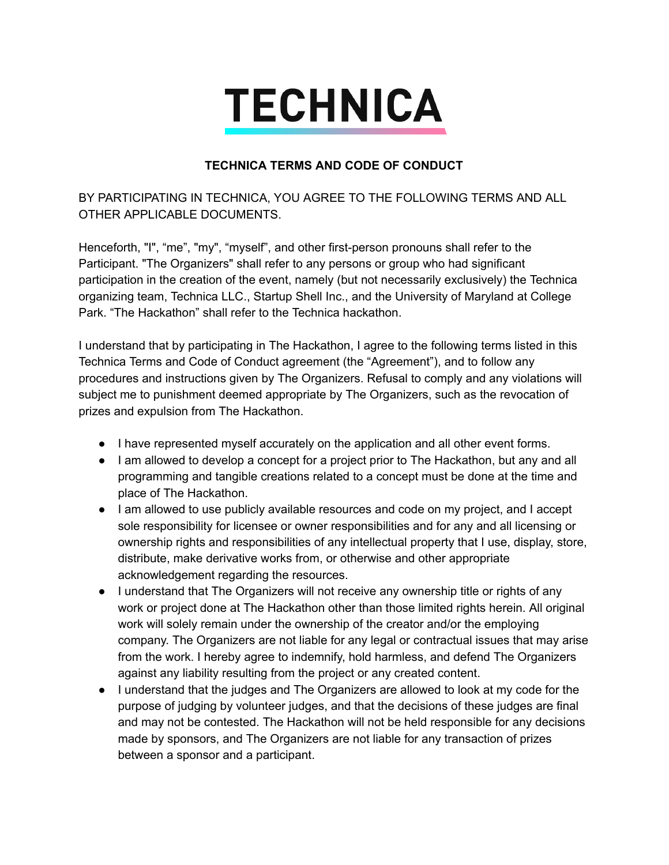# **TECHNICA**

#### **7ECH1ICA 7E506 A1D C2DE 2F C21D8C7**

BY PARTICIPATING IN TECHNICA, YOU AGREE TO THE FOLLOWING TERMS AND ALL OTHER APPLICABLE DOCUMENTS.

Henceforth, "I", "me", "my", "myself", and other first-person pronouns shall refer to the Participant. "The Organizers" shall refer to any persons or group who had significant participation in the creation of the event, namely (but not necessarily exclusively) the Technica organizing team, Technica LLC., Startup Shell Inc., and the University of Maryland at College Park. "The Hackathon" shall refer to the Technica hackathon.

I understand that by participating in The Hackathon, I agree to the following terms listed in this Technica Terms and Code of Conduct agreement (the "Agreement"), and to follow any procedures and instructions given by The Organizers. Refusal to comply and any violations will subject me to punishment deemed appropriate by The Organizers, such as the revocation of prizes and expulsion from The Hackathon.

- I have represented myself accurately on the application and all other event forms.
- I am allowed to develop a concept for a project prior to The Hackathon, but any and all programming and tangible creations related to a concept must be done at the time and place of The Hackathon.
- I am allowed to use publicly available resources and code on my project, and I accept sole responsibility for licensee or owner responsibilities and for any and all licensing or ownership rights and responsibilities of any intellectual property that I use, display, store, distribute, make derivative works from, or otherwise and other appropriate acknowledgement regarding the resources.
- I understand that The Organizers will not receive any ownership title or rights of any work or project done at The Hackathon other than those limited rights herein. All original work will solely remain under the ownership of the creator and/or the employing company. The Organizers are not liable for any legal or contractual issues that may arise from the work. I hereby agree to indemnify, hold harmless, and defend The Organizers against any liability resulting from the project or any created content.
- I understand that the judges and The Organizers are allowed to look at my code for the purpose of judging by volunteer judges, and that the decisions of these judges are final and may not be contested. The Hackathon will not be held responsible for any decisions made by sponsors, and The Organizers are not liable for any transaction of prizes between a sponsor and a participant.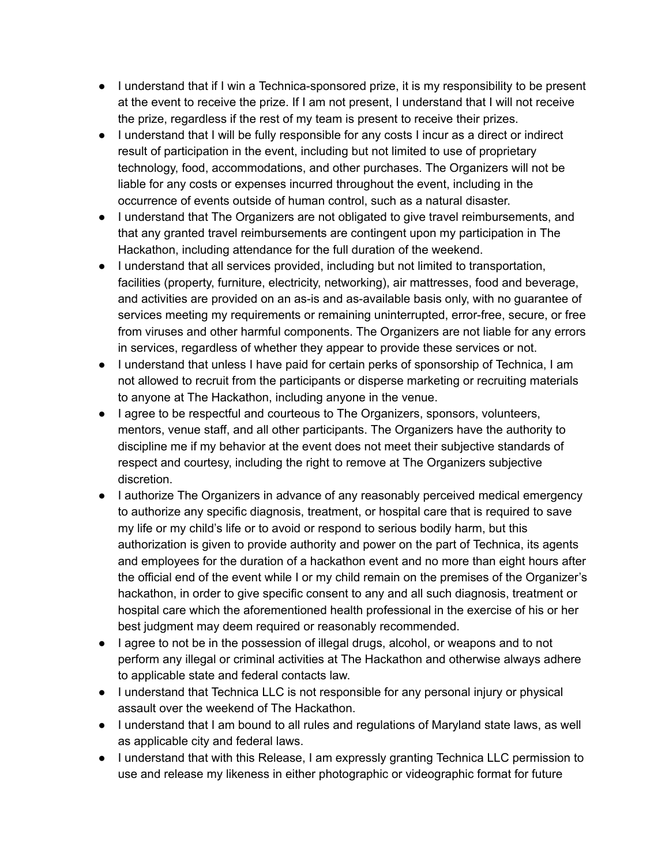- $\bullet$  I understand that if I win a Technica-sponsored prize, it is my responsibility to be present at the event to receive the prize. If I am not present, I understand that I will not receive the prize, regardless if the rest of my team is present to receive their prizes.
- I understand that I will be fully responsible for any costs I incur as a direct or indirect result of participation in the event, including but not limited to use of proprietary technology, food, accommodations, and other purchases. The Organizers will not be liable for any costs or expenses incurred throughout the event, including in the occurrence of events outside of human control, such as a natural disaster.
- I understand that The Organizers are not obligated to give travel reimbursements, and that any granted travel reimbursements are contingent upon my participation in The Hackathon, including attendance for the full duration of the weekend.
- I understand that all services provided, including but not limited to transportation, facilities (property, furniture, electricity, networking), air mattresses, food and beverage, and activities are provided on an as-is and as-available basis only, with no quarantee of services meeting my requirements or remaining uninterrupted, error-free, secure, or free from viruses and other harmful components. The Organizers are not liable for any errors in services, regardless of whether they appear to provide these services or not.
- I understand that unless I have paid for certain perks of sponsorship of Technica, I am not allowed to recruit from the participants or disperse marketing or recruiting materials to anyone at The Hackathon, including anyone in the venue.
- I agree to be respectful and courteous to The Organizers, sponsors, volunteers, mentors, venue staff, and all other participants. The Organizers have the authority to discipline me if my behavior at the event does not meet their subjective standards of respect and courtesy, including the right to remove at The Organizers subjective discretion.
- I authorize The Organizers in advance of any reasonably perceived medical emergency to authorize any specific diagnosis, treatment, or hospital care that is required to save my life or my child's life or to avoid or respond to serious bodily harm, but this authorization is given to provide authority and power on the part of Technica, its agents and employees for the duration of a hackathon event and no more than eight hours after the official end of the event while I or my child remain on the premises of the Organizer's hackathon, in order to give specific consent to any and all such diagnosis, treatment or hospital care which the aforementioned health professional in the exercise of his or her best judgment may deem required or reasonably recommended.
- I agree to not be in the possession of illegal drugs, alcohol, or weapons and to not perform any illegal or criminal activities at The Hackathon and otherwise always adhere to applicable state and federal contacts law.
- I understand that Technica LLC is not responsible for any personal injury or physical assault over the weekend of The Hackathon.
- I understand that I am bound to all rules and regulations of Maryland state laws, as well as applicable city and federal laws.
- I understand that with this Release, I am expressly granting Technica LLC permission to use and release my likeness in either photographic or videographic format for future